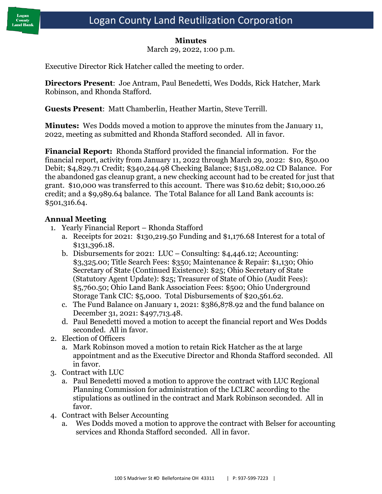

#### **Minutes**

March 29, 2022, 1:00 p.m.

Executive Director Rick Hatcher called the meeting to order.

**Directors Present**: Joe Antram, Paul Benedetti, Wes Dodds, Rick Hatcher, Mark Robinson, and Rhonda Stafford.

**Guests Present**: Matt Chamberlin, Heather Martin, Steve Terrill.

**Minutes:** Wes Dodds moved a motion to approve the minutes from the January 11, 2022, meeting as submitted and Rhonda Stafford seconded. All in favor.

**Financial Report:** Rhonda Stafford provided the financial information. For the financial report, activity from January 11, 2022 through March 29, 2022: \$10, 850.00 Debit; \$4,829.71 Credit; \$340,244.98 Checking Balance; \$151,082.02 CD Balance. For the abandoned gas cleanup grant, a new checking account had to be created for just that grant. \$10,000 was transferred to this account. There was \$10.62 debit; \$10,000.26 credit; and a \$9,989.64 balance. The Total Balance for all Land Bank accounts is: \$501,316.64.

## **Annual Meeting**

- 1. Yearly Financial Report Rhonda Stafford
	- a. Receipts for 2021: \$130,219.50 Funding and \$1,176.68 Interest for a total of \$131,396.18.
	- b. Disbursements for 2021: LUC Consulting: \$4,446.12; Accounting: \$3,325.00; Title Search Fees: \$350; Maintenance & Repair: \$1,130; Ohio Secretary of State (Continued Existence): \$25; Ohio Secretary of State (Statutory Agent Update): \$25; Treasurer of State of Ohio (Audit Fees): \$5,760.50; Ohio Land Bank Association Fees: \$500; Ohio Underground Storage Tank CIC: \$5,000. Total Disbursements of \$20,561.62.
	- c. The Fund Balance on January 1, 2021: \$386,878.92 and the fund balance on December 31, 2021: \$497,713.48.
	- d. Paul Benedetti moved a motion to accept the financial report and Wes Dodds seconded. All in favor.
- 2. Election of Officers
	- a. Mark Robinson moved a motion to retain Rick Hatcher as the at large appointment and as the Executive Director and Rhonda Stafford seconded. All in favor.
- 3. Contract with LUC
	- a. Paul Benedetti moved a motion to approve the contract with LUC Regional Planning Commission for administration of the LCLRC according to the stipulations as outlined in the contract and Mark Robinson seconded. All in favor.
- 4. Contract with Belser Accounting
	- a. Wes Dodds moved a motion to approve the contract with Belser for accounting services and Rhonda Stafford seconded. All in favor.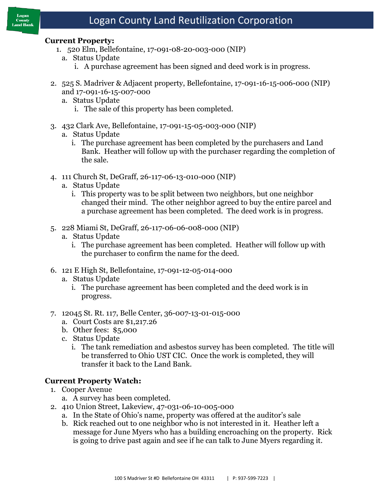#### **Current Property:**

- 1. 520 Elm, Bellefontaine, 17-091-08-20-003-000 (NIP)
	- a. Status Update
		- i. A purchase agreement has been signed and deed work is in progress.
- 2. 525 S. Madriver & Adjacent property, Bellefontaine, 17-091-16-15-006-000 (NIP) and 17-091-16-15-007-000
	- a. Status Update
		- i. The sale of this property has been completed.
- 3. 432 Clark Ave, Bellefontaine, 17-091-15-05-003-000 (NIP)
	- a. Status Update
		- i. The purchase agreement has been completed by the purchasers and Land Bank. Heather will follow up with the purchaser regarding the completion of the sale.
- 4. 111 Church St, DeGraff, 26-117-06-13-010-000 (NIP)
	- a. Status Update
		- i. This property was to be split between two neighbors, but one neighbor changed their mind. The other neighbor agreed to buy the entire parcel and a purchase agreement has been completed. The deed work is in progress.
- 5. 228 Miami St, DeGraff, 26-117-06-06-008-000 (NIP)
	- a. Status Update
		- i. The purchase agreement has been completed. Heather will follow up with the purchaser to confirm the name for the deed.
- 6. 121 E High St, Bellefontaine, 17-091-12-05-014-000
	- a. Status Update
		- i. The purchase agreement has been completed and the deed work is in progress.
- 7. 12045 St. Rt. 117, Belle Center, 36-007-13-01-015-000
	- a. Court Costs are \$1,217.26
	- b. Other fees: \$5,000
	- c. Status Update
		- i. The tank remediation and asbestos survey has been completed. The title will be transferred to Ohio UST CIC. Once the work is completed, they will transfer it back to the Land Bank.

#### **Current Property Watch:**

- 1. Cooper Avenue
	- a. A survey has been completed.
- 2. 410 Union Street, Lakeview, 47-031-06-10-005-000
	- a. In the State of Ohio's name, property was offered at the auditor's sale
	- b. Rick reached out to one neighbor who is not interested in it. Heather left a message for June Myers who has a building encroaching on the property. Rick is going to drive past again and see if he can talk to June Myers regarding it.